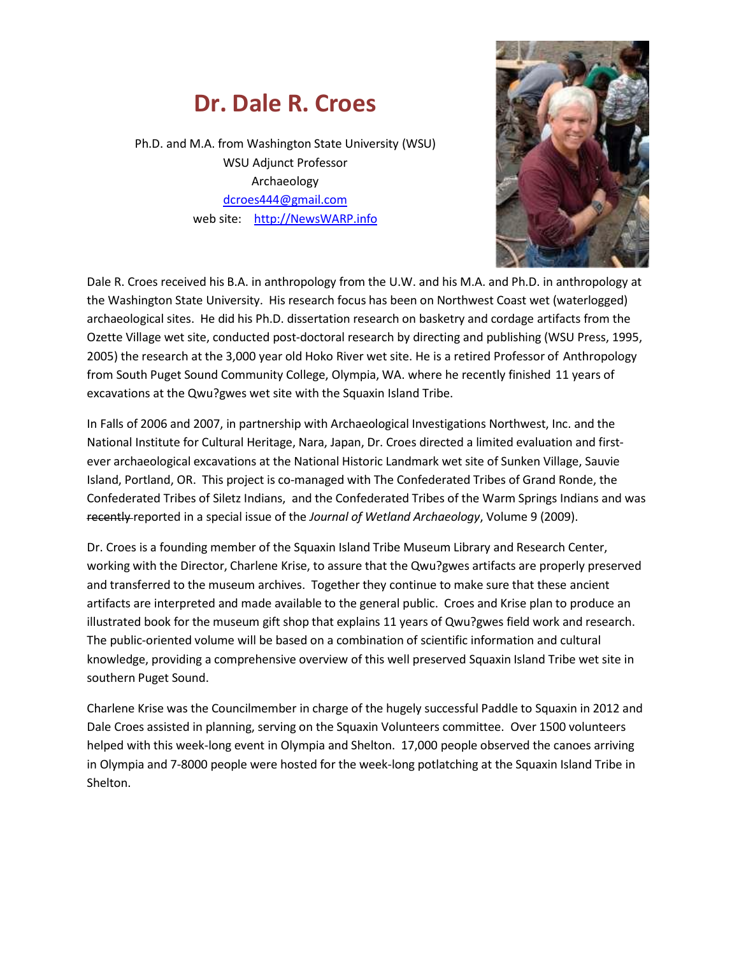## **Dr. Dale R. Croes**

Ph.D. and M.A. from Washington State University (WSU) WSU Adjunct Professor Archaeology [dcroes444@gmail.com](mailto:dcroes444@gmail.com) web site: [http://NewsWARP.info](http://newswarp.info/)



Dale R. Croes received his B.A. in anthropology from the U.W. and his M.A. and Ph.D. in anthropology at the Washington State University. His research focus has been on Northwest Coast wet (waterlogged) archaeological sites. He did his Ph.D. dissertation research on basketry and cordage artifacts from the Ozette Village wet site, conducted post-doctoral research by directing and publishing (WSU Press, 1995, 2005) the research at the 3,000 year old Hoko River wet site. He is a retired Professor of Anthropology from South Puget Sound Community College, Olympia, WA. where he recently finished 11 years of excavations at the Qwu?gwes wet site with the Squaxin Island Tribe.

In Falls of 2006 and 2007, in partnership with Archaeological Investigations Northwest, Inc. and the National Institute for Cultural Heritage, Nara, Japan, Dr. Croes directed a limited evaluation and firstever archaeological excavations at the National Historic Landmark wet site of Sunken Village, Sauvie Island, Portland, OR. This project is co-managed with The Confederated Tribes of Grand Ronde, the Confederated Tribes of Siletz Indians, and the Confederated Tribes of the Warm Springs Indians and was recently reported in a special issue of the *Journal of Wetland Archaeology*, Volume 9 (2009).

Dr. Croes is a founding member of the Squaxin Island Tribe Museum Library and Research Center, working with the Director, Charlene Krise, to assure that the Qwu?gwes artifacts are properly preserved and transferred to the museum archives. Together they continue to make sure that these ancient artifacts are interpreted and made available to the general public. Croes and Krise plan to produce an illustrated book for the museum gift shop that explains 11 years of Qwu?gwes field work and research. The public-oriented volume will be based on a combination of scientific information and cultural knowledge, providing a comprehensive overview of this well preserved Squaxin Island Tribe wet site in southern Puget Sound.

Charlene Krise was the Councilmember in charge of the hugely successful Paddle to Squaxin in 2012 and Dale Croes assisted in planning, serving on the Squaxin Volunteers committee. Over 1500 volunteers helped with this week-long event in Olympia and Shelton. 17,000 people observed the canoes arriving in Olympia and 7-8000 people were hosted for the week-long potlatching at the Squaxin Island Tribe in Shelton.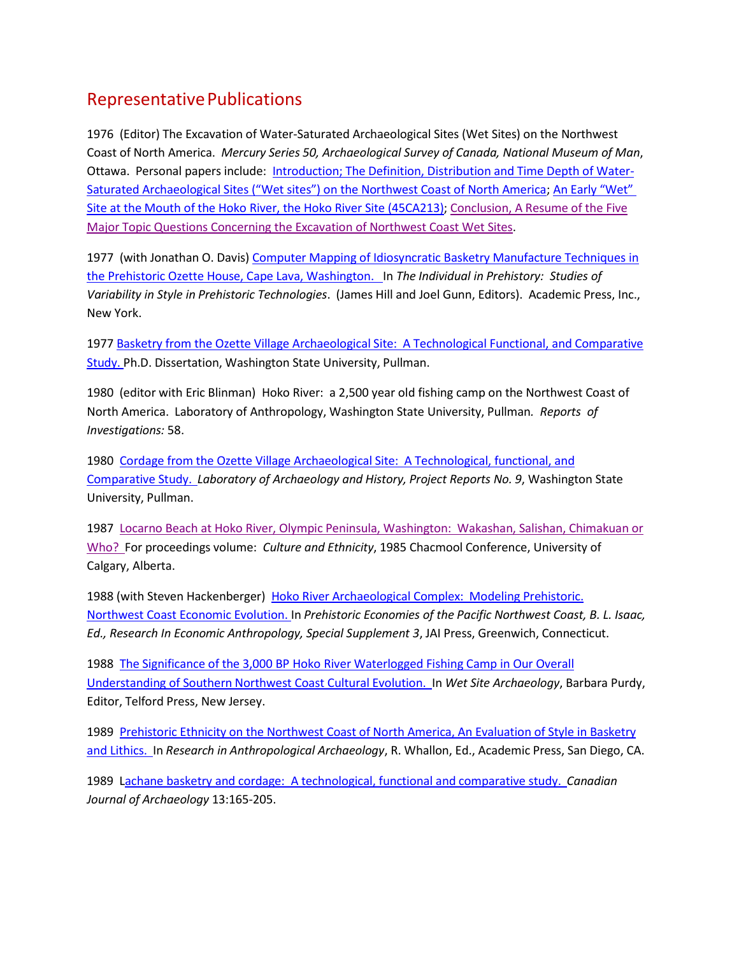## Representative Publications

1976 (Editor) The Excavation of Water-Saturated Archaeological Sites (Wet Sites) on the Northwest Coast of North America. *Mercury Series 50, Archaeological Survey of Canada, National Museum of Man*, Ottawa. Personal papers include: [Introduction;](https://www.dropbox.com/s/vdysjwtb9ke5dq3/1976%20Wet%20Sites%20on%20NWC%201b--Introduction%2C%20Definition....Croes.pdf) The Definition, Distribution and Time Depth of Water-Saturated [Archaeological Sites](https://www.dropbox.com/s/vdysjwtb9ke5dq3/1976%20Wet%20Sites%20on%20NWC%201b--Introduction%2C%20Definition....Croes.pdf) ("Wet sites") on the Northwest Coast of North America; An Early ["Wet"](https://www.dropbox.com/s/ictmu28btqfa7cp/1976%20Wet%20Sites%20on%20NWC%2011%20%20Hoko%20River--Croes.pdf) Site at the Mouth of the Hoko River, the Hoko River Site [\(45CA213\);](https://www.dropbox.com/s/ictmu28btqfa7cp/1976%20Wet%20Sites%20on%20NWC%2011%20%20Hoko%20River--Croes.pdf) [Conclusion,](https://www.dropbox.com/s/s10crni2dqteukh/1976%20Wet%20Sites%20on%20NWC%2014%20%20Conclusions--Croes.pdf) A Resume of the Fiv[e](https://www.dropbox.com/s/s10crni2dqteukh/1976%20Wet%20Sites%20on%20NWC%2014%20%20Conclusions--Croes.pdf) Major [Topic Questions Concerning the Excavation of](https://www.dropbox.com/s/s10crni2dqteukh/1976%20Wet%20Sites%20on%20NWC%2014%20%20Conclusions--Croes.pdf) Northwest Coast Wet Sites.

1977 (with Jonathan O. Davis) Computer Mapping of Idiosyncratic Basketry [Manufacture](https://www.dropbox.com/s/f9rsn5iz10tsiq3/1977%20Computer%20Mapping%20of%20Idiosyncratic%20Basketry%20Manufacture%20Techniques%20in%20the%20Ozette%20House.pdf?m) Tech[n](https://www.dropbox.com/s/f9rsn5iz10tsiq3/1977%20Computer%20Mapping%20of%20Idiosyncratic%20Basketry%20Manufacture%20Techniques%20in%20the%20Ozette%20House.pdf?m)iques in the Prehistoric Ozette House, Cape Lava, [Washington.](https://www.dropbox.com/s/f9rsn5iz10tsiq3/1977%20Computer%20Mapping%20of%20Idiosyncratic%20Basketry%20Manufacture%20Techniques%20in%20the%20Ozette%20House.pdf?m) In *The Individual in Prehistory: Studies of Variability in Style in Prehistoric Technologies*. (James Hill and Joel Gunn, Editors). Academic Press, Inc., New York.

1977 Basketry from the Ozette Village Archaeological Site: [A Technological Functional,](https://www.dropbox.com/s/seqvc7nxp5as909/1977%20Ozette%20Basketry%20Dissertation.pdf?m) and Comparativ[e](https://www.dropbox.com/s/seqvc7nxp5as909/1977%20Ozette%20Basketry%20Dissertation.pdf?m) [Study.](https://www.dropbox.com/s/seqvc7nxp5as909/1977%20Ozette%20Basketry%20Dissertation.pdf?m) Ph.D. Dissertation, Washington State University, Pullman.

1980 (editor with Eric Blinman) Hoko River: a 2,500 year old fishing camp on the Northwest Coast of North America. Laboratory of Anthropology, Washington State University, Pullman*. Reports of Investigations:* 58.

1980 Cordage from the Ozette Village Archaeological Site: [A Technological,](https://www.dropbox.com/s/l1thrvg7m7kx2yi/1980%20Ozette%20Cordage.pdf) functional, an[d](https://www.dropbox.com/s/l1thrvg7m7kx2yi/1980%20Ozette%20Cordage.pdf) [Comparative](https://www.dropbox.com/s/l1thrvg7m7kx2yi/1980%20Ozette%20Cordage.pdf) Study. *Laboratory of Archaeology and History, Project Reports No. 9*, Washington State University, Pullman.

1987 Locarno Beach at Hoko River, Olympic Peninsula, [Washington:](https://www.dropbox.com/s/uv5bfngjzsmjmb5/1987%20%20Locarno%20Beach%20at%20Hoko%20River--Ethnicity%20and%20Culture.pdf) Wakashan, Salishan, Chimakuan o[r](https://www.dropbox.com/s/uv5bfngjzsmjmb5/1987%20%20Locarno%20Beach%20at%20Hoko%20River--Ethnicity%20and%20Culture.pdf) [Who?](https://www.dropbox.com/s/uv5bfngjzsmjmb5/1987%20%20Locarno%20Beach%20at%20Hoko%20River--Ethnicity%20and%20Culture.pdf) For proceedings volume: *Culture and Ethnicity*, 1985 Chacmool Conference, University of Calgary, Alberta.

1988 (with Steven Hackenberger) Hoko River [Archaeological Complex:](https://www.dropbox.com/s/x69jwtpbe1qtqbc/1988%20Hoko%20River%20Archaeological%20Complex--Croes%20and%20Hackenberger%20Model.pdf)Modeling Prehistoric. [Northwest](https://www.dropbox.com/s/x69jwtpbe1qtqbc/1988%20Hoko%20River%20Archaeological%20Complex--Croes%20and%20Hackenberger%20Model.pdf) Coast Economic Evolution. In *Prehistoric Economies of the Pacific Northwest Coast, B. L. Isaac, Ed., Research In Economic Anthropology, Special Supplement 3*, JAI Press, Greenwich, Connecticut.

1988 The Significance of the 3,000 BP Hoko River [Waterlogged Fishing Camp in](https://www.dropbox.com/s/mr6vjl409g0otfz/1988%20The%20Significance%20of%20the%20Hoko%20River%20Fishing%20Camp.pdf) Our Overall [Understanding of](https://www.dropbox.com/s/mr6vjl409g0otfz/1988%20The%20Significance%20of%20the%20Hoko%20River%20Fishing%20Camp.pdf) Southern Northwest Coast Cultural Evolution. In *Wet Site Archaeology*, Barbara Purdy, Editor, Telford Press, New Jersey.

1989 [Prehistoric Ethnicity](https://www.dropbox.com/s/fxjppgah5m5rt3x/1989%20Prehistoric%20Ethnicity--An%20Evaluation%20of%20Style%20of%20Basketry%20and%20Lithics--Journal%20of%20Anthropological%20Archaeology.pdf) on the Northwest Coast of North America, An Evaluation of Style in Basketr[y](https://www.dropbox.com/s/fxjppgah5m5rt3x/1989%20Prehistoric%20Ethnicity--An%20Evaluation%20of%20Style%20of%20Basketry%20and%20Lithics--Journal%20of%20Anthropological%20Archaeology.pdf) [and Lithics.](https://www.dropbox.com/s/fxjppgah5m5rt3x/1989%20Prehistoric%20Ethnicity--An%20Evaluation%20of%20Style%20of%20Basketry%20and%20Lithics--Journal%20of%20Anthropological%20Archaeology.pdf) In *Research in Anthropological Archaeology*, R. Whallon, Ed., Academic Press, San Diego, CA.

1989 Lachane basketry and cordage: A [technological,](https://www.dropbox.com/s/9q0lodb5i25x702/1989%20LACHANE%20Canadian%20Journal%20of%20Archaeology.pdf) functional and comparative study. *Canadian Journal of Archaeology* 13:165-205.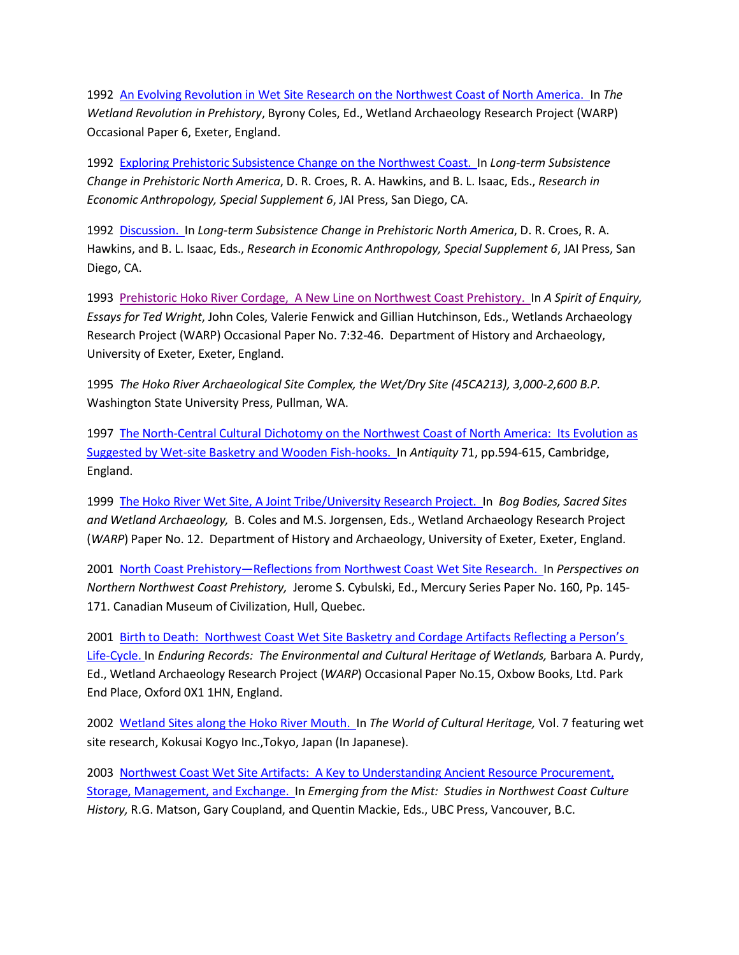1992 An [Evolving Revolution in](https://www.dropbox.com/s/tu24a6zsoxtutxh/1992%20An%20Evolving%20Revolution%20in%20Wet%20Site%20Research%20on%20the%20NWC%20of%20North%20America.pdf) Wet Site Research on the Northwest Coast of North America. In *The Wetland Revolution in Prehistory*, Byrony Coles, Ed., Wetland Archaeology Research Project (WARP) Occasional Paper 6, Exeter, England.

1992 [Exploring Prehistoric](https://www.dropbox.com/s/5w5j5rzy4kymntn/1992%20Exploring%20Prehistoric%20Subsistence%20Change%20on%20The%20Northwest%20Coast--Part%20IV.pdf) Subsistence Change on the Northwest Coast. In *Long-term Subsistence Change in Prehistoric North America*, D. R. Croes, R. A. Hawkins, and B. L. Isaac, Eds., *Research in Economic Anthropology, Special Supplement 6*, JAI Press, San Diego, CA.

1992 [Discussion.](https://www.dropbox.com/s/9crwmjtjjphu27x/1992%20Research%20in%20Economic%20Anthropology%20DISCUSSION.pdf) In *Long-term Subsistence Change in Prehistoric North America*, D. R. Croes, R. A. Hawkins, and B. L. Isaac, Eds., *Research in Economic Anthropology, Special Supplement 6*, JAI Press, San Diego, CA.

1993 [Prehistoric Hoko](https://www.dropbox.com/s/2owyeu50f24pod9/1993%20Prehistoric%20Hoko%20River%20Cordage%2C%20A%20New%20Line%20on%20NWC%20Prehistory.pdf) River Cordage, A New Line on Northwest Coast Prehistory. In *A Spirit of Enquiry, Essays for Ted Wright*, John Coles, Valerie Fenwick and Gillian Hutchinson, Eds., Wetlands Archaeology Research Project (WARP) Occasional Paper No. 7:32-46. Department of History and Archaeology, University of Exeter, Exeter, England.

1995 *The Hoko River Archaeological Site Complex, the Wet/Dry Site (45CA213), 3,000-2,600 B.P.* Washington State University Press, Pullman, WA.

1997 The [North-Central Cultural Dichotomy](https://www.dropbox.com/s/4f3mmrk20vk5zcr/1997%20The%20North-Central%20Cultural%20Dicotomy%20on%20NWC--evolution%20suggested%20by%20basketry%20and%20fish-hooks.pdf) on the Northwest Coast of North America: Its Evolution as Suggested by Wet-site Basketry and [Wooden Fish-hooks.](https://www.dropbox.com/s/4f3mmrk20vk5zcr/1997%20The%20North-Central%20Cultural%20Dicotomy%20on%20NWC--evolution%20suggested%20by%20basketry%20and%20fish-hooks.pdf) In *Antiquity* 71, pp.594-615, Cambridge, England.

1999 The Hoko River Wet Site, A Joint [Tribe/University](https://www.dropbox.com/s/es17bcm1ag56n4k/1999%20The%20Hoko%20River%20Wet%20Site%2C%20A%20Joint%20Tribe-University%20Research%20Project.pdf) Research Project. In *Bog Bodies, Sacred Sites and Wetland Archaeology,* B. Coles and M.S. Jorgensen, Eds., Wetland Archaeology Research Project (*WARP*) Paper No. 12. Department of History and Archaeology, University of Exeter, Exeter, England.

2001 North Coast Prehistory—[Reflections from](https://www.dropbox.com/s/drrr0g3i40ikn9e/2001%20North%20Coast%20Prehistory--Reflections%20from%20NWC%20Wet%20Site%20Research.pdf) Northwest Coast Wet Site Research. In *Perspectives on Northern Northwest Coast Prehistory,* Jerome S. Cybulski, Ed., Mercury Series Paper No. 160, Pp. 145- 171. Canadian Museum of Civilization, Hull, Quebec.

2001 Birth to Death: Northwest Coast Wet Site Basketry and Cordage Artifacts [Reflecting a Perso](https://www.dropbox.com/s/dsbdo52daeqd7hr/2001%20Enduring%20Records--Birth%20to%20Death--NWC%20Wet%20Site%20Basketry%20and%20Cordage%20Artifacts%20Reflecting%20a%20Person%27s%20Life%20Cycle.pdf)n's [Life-Cycle.](https://www.dropbox.com/s/dsbdo52daeqd7hr/2001%20Enduring%20Records--Birth%20to%20Death--NWC%20Wet%20Site%20Basketry%20and%20Cordage%20Artifacts%20Reflecting%20a%20Person%27s%20Life%20Cycle.pdf) In *Enduring Records: The Environmental and Cultural Heritage of Wetlands,* Barbara A. Purdy, Ed., Wetland Archaeology Research Project (*WARP*) Occasional Paper No.15, Oxbow Books, Ltd. Park End Place, Oxford 0X1 1HN, England.

2002 [Wetland Sites](https://www.dropbox.com/s/gyjj81g5w9ljk3j/2003%20Waterlogged%20Site%20Research%20on%20the%20NWC--Hoko%20River%20%28Japanese%29.pdf) along the Hoko River Mouth. In *The World of Cultural Heritage,* Vol. 7 featuring wet site research, Kokusai Kogyo Inc.,Tokyo, Japan (In Japanese).

2003 Northwest Coast Wet Site Artifacts: A Key [to Understanding Ancient Resource](https://www.dropbox.com/s/s87t67q9qnruizb/2004%20NW%20Coast%20Wet-Site%20Artifacts--Key%20to%20Understanding%20Resource%20Procurement%2C%20Storage%2C%20Management%2C%20and%20Exchange.pdf) Procurement, Storage, [Management, and](https://www.dropbox.com/s/s87t67q9qnruizb/2004%20NW%20Coast%20Wet-Site%20Artifacts--Key%20to%20Understanding%20Resource%20Procurement%2C%20Storage%2C%20Management%2C%20and%20Exchange.pdf) Exchange. In *Emerging from the Mist: Studies in Northwest Coast Culture History,* R.G. Matson, Gary Coupland, and Quentin Mackie, Eds., UBC Press, Vancouver, B.C.